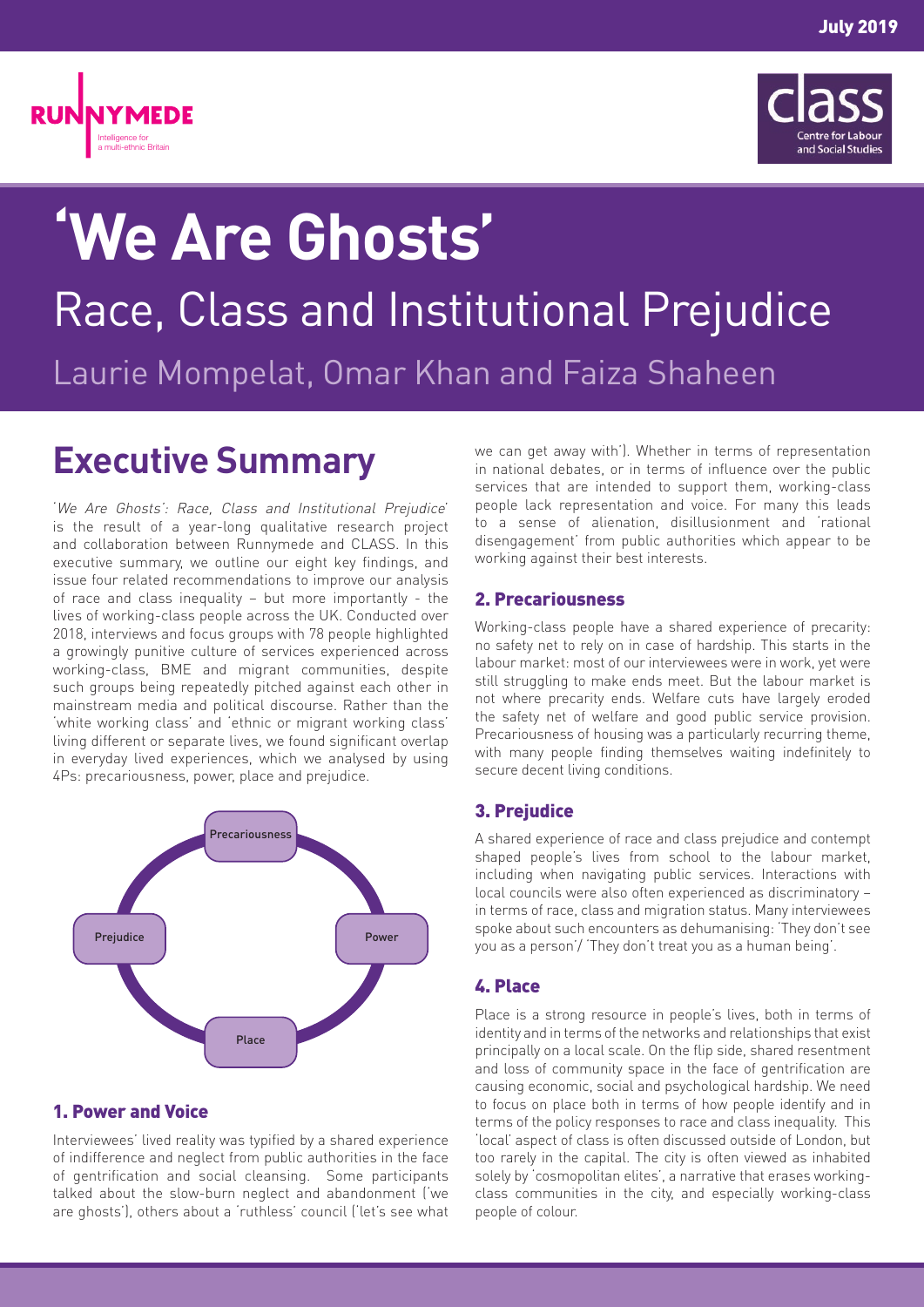



# **'We Are Ghosts'** Race, Class and Institutional Prejudice Laurie Mompelat, Omar Khan and Faiza Shaheen

# **Executive Summary**

'We Are Ghosts': Race, Class and Institutional Prejudice' is the result of a year-long qualitative research project and collaboration between Runnymede and CLASS. In this executive summary, we outline our eight key findings, and issue four related recommendations to improve our analysis of race and class inequality – but more importantly - the lives of working-class people across the UK. Conducted over 2018, interviews and focus groups with 78 people highlighted a growingly punitive culture of services experienced across working-class, BME and migrant communities, despite such groups being repeatedly pitched against each other in mainstream media and political discourse. Rather than the 'white working class' and 'ethnic or migrant working class' living different or separate lives, we found significant overlap in everyday lived experiences, which we analysed by using 4Ps: precariousness, power, place and prejudice.



# 1. Power and Voice

Interviewees' lived reality was typified by a shared experience of indifference and neglect from public authorities in the face of gentrification and social cleansing. Some participants talked about the slow-burn neglect and abandonment ('we are ghosts'), others about a 'ruthless' council ('let's see what

we can get away with'). Whether in terms of representation in national debates, or in terms of influence over the public services that are intended to support them, working-class people lack representation and voice. For many this leads to a sense of alienation, disillusionment and 'rational disengagement' from public authorities which appear to be working against their best interests.

# 2. Precariousness

Working-class people have a shared experience of precarity: no safety net to rely on in case of hardship. This starts in the labour market: most of our interviewees were in work, yet were still struggling to make ends meet. But the labour market is not where precarity ends. Welfare cuts have largely eroded the safety net of welfare and good public service provision. Precariousness of housing was a particularly recurring theme, with many people finding themselves waiting indefinitely to secure decent living conditions.

# 3. Prejudice

A shared experience of race and class prejudice and contempt shaped people's lives from school to the labour market, including when navigating public services. Interactions with local councils were also often experienced as discriminatory – in terms of race, class and migration status. Many interviewees spoke about such encounters as dehumanising: 'They don't see you as a person'/ 'They don't treat you as a human being'.

# 4. Place

Place is a strong resource in people's lives, both in terms of identity and in terms of the networks and relationships that exist principally on a local scale. On the flip side, shared resentment and loss of community space in the face of gentrification are causing economic, social and psychological hardship. We need to focus on place both in terms of how people identify and in terms of the policy responses to race and class inequality. This 'local' aspect of class is often discussed outside of London, but too rarely in the capital. The city is often viewed as inhabited solely by 'cosmopolitan elites', a narrative that erases workingclass communities in the city, and especially working-class people of colour.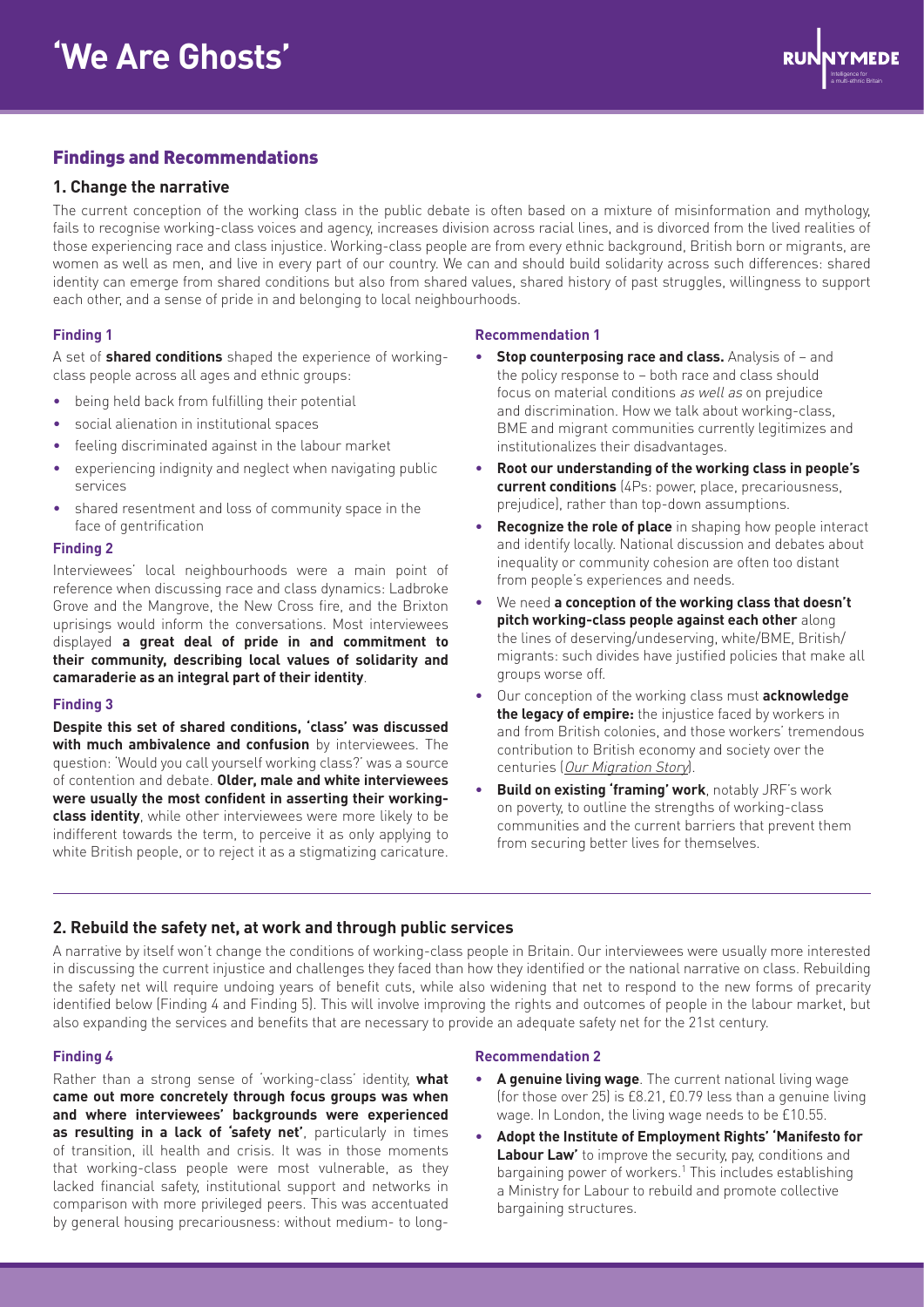

# Findings and Recommendations

# **1. Change the narrative**

The current conception of the working class in the public debate is often based on a mixture of misinformation and mythology, fails to recognise working-class voices and agency, increases division across racial lines, and is divorced from the lived realities of those experiencing race and class injustice. Working-class people are from every ethnic background, British born or migrants, are women as well as men, and live in every part of our country. We can and should build solidarity across such differences: shared identity can emerge from shared conditions but also from shared values, shared history of past struggles, willingness to support each other, and a sense of pride in and belonging to local neighbourhoods.

#### **Finding 1**

A set of **shared conditions** shaped the experience of workingclass people across all ages and ethnic groups:

- being held back from fulfilling their potential
- social alienation in institutional spaces
- feeling discriminated against in the labour market
- experiencing indignity and neglect when navigating public services
- shared resentment and loss of community space in the face of gentrification

#### **Finding 2**

Interviewees' local neighbourhoods were a main point of reference when discussing race and class dynamics: Ladbroke Grove and the Mangrove, the New Cross fire, and the Brixton uprisings would inform the conversations. Most interviewees displayed **a great deal of pride in and commitment to their community, describing local values of solidarity and camaraderie as an integral part of their identity**.

#### **Finding 3**

**Despite this set of shared conditions, 'class' was discussed with much ambivalence and confusion** by interviewees. The question: 'Would you call yourself working class?' was a source of contention and debate. **Older, male and white interviewees were usually the most confident in asserting their workingclass identity**, while other interviewees were more likely to be indifferent towards the term, to perceive it as only applying to white British people, or to reject it as a stigmatizing caricature.

#### **Recommendation 1**

- **Stop counterposing race and class.** Analysis of and the policy response to – both race and class should focus on material conditions as well as on prejudice and discrimination. How we talk about working-class, BME and migrant communities currently legitimizes and institutionalizes their disadvantages.
- **Root our understanding of the working class in people's current conditions** (4Ps: power, place, precariousness, prejudice), rather than top-down assumptions.
- **Recognize the role of place** in shaping how people interact and identify locally. National discussion and debates about inequality or community cohesion are often too distant from people's experiences and needs.
- We need **a conception of the working class that doesn't pitch working-class people against each other** along the lines of deserving/undeserving, white/BME, British/ migrants: such divides have justified policies that make all groups worse off.
- Our conception of the working class must **acknowledge the legacy of empire:** the injustice faced by workers in and from British colonies, and those workers' tremendous contribution to British economy and society over the centuries ([Our Migration Story](https://www.ourmigrationstory.org.uk/)).
- **Build on existing 'framing' work**, notably JRF's work on poverty, to outline the strengths of working-class communities and the current barriers that prevent them from securing better lives for themselves.

# **2. Rebuild the safety net, at work and through public services**

A narrative by itself won't change the conditions of working-class people in Britain. Our interviewees were usually more interested in discussing the current injustice and challenges they faced than how they identified or the national narrative on class. Rebuilding the safety net will require undoing years of benefit cuts, while also widening that net to respond to the new forms of precarity identified below (Finding 4 and Finding 5). This will involve improving the rights and outcomes of people in the labour market, but also expanding the services and benefits that are necessary to provide an adequate safety net for the 21st century.

#### **Finding 4**

Rather than a strong sense of 'working-class' identity, **what came out more concretely through focus groups was when and where interviewees' backgrounds were experienced as resulting in a lack of 'safety net'**, particularly in times of transition, ill health and crisis. It was in those moments that working-class people were most vulnerable, as they lacked financial safety, institutional support and networks in comparison with more privileged peers. This was accentuated by general housing precariousness: without medium- to long-

#### **Recommendation 2**

- **A genuine living wage**. The current national living wage (for those over 25) is £8.21, £0.79 less than a genuine living wage. In London, the living wage needs to be £10.55.
- **Adopt the Institute of Employment Rights' 'Manifesto for Labour Law'** to improve the security, pay, conditions and bargaining power of workers.<sup>1</sup> This includes establishing a Ministry for Labour to rebuild and promote collective bargaining structures.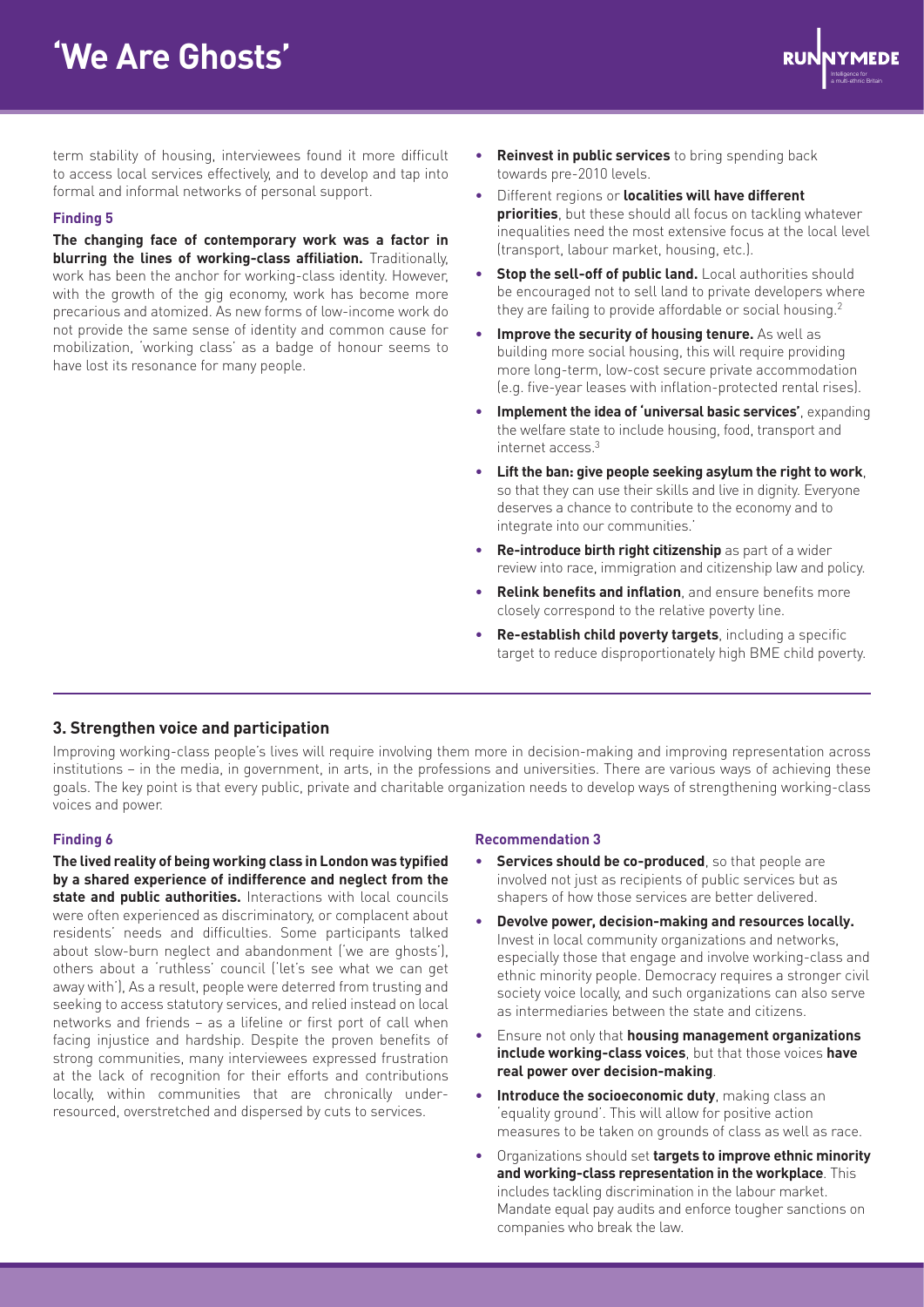# **'We Are Ghosts'**



term stability of housing, interviewees found it more difficult to access local services effectively, and to develop and tap into formal and informal networks of personal support.

#### **Finding 5**

**The changing face of contemporary work was a factor in blurring the lines of working-class affiliation.** Traditionally, work has been the anchor for working-class identity. However, with the growth of the gig economy, work has become more precarious and atomized. As new forms of low-income work do not provide the same sense of identity and common cause for mobilization, 'working class' as a badge of honour seems to have lost its resonance for many people.

- **Reinvest in public services** to bring spending back towards pre-2010 levels.
- Different regions or **localities will have different priorities**, but these should all focus on tackling whatever inequalities need the most extensive focus at the local level (transport, labour market, housing, etc.).
- **Stop the sell-off of public land.** Local authorities should be encouraged not to sell land to private developers where they are failing to provide affordable or social housing.<sup>2</sup>
- **Improve the security of housing tenure.** As well as building more social housing, this will require providing more long-term, low-cost secure private accommodation (e.g. five-year leases with inflation-protected rental rises).
- **Implement the idea of 'universal basic services'**, expanding the welfare state to include housing, food, transport and internet access.3
- **Lift the ban: give people seeking asylum the right to work**, so that they can use their skills and live in dignity. Everyone deserves a chance to contribute to the economy and to integrate into our communities.'
- **Re-introduce birth right citizenship** as part of a wider review into race, immigration and citizenship law and policy.
- **Relink benefits and inflation**, and ensure benefits more closely correspond to the relative poverty line.
- **Re-establish child poverty targets**, including a specific target to reduce disproportionately high BME child poverty.

#### **3. Strengthen voice and participation**

Improving working-class people's lives will require involving them more in decision-making and improving representation across institutions – in the media, in government, in arts, in the professions and universities. There are various ways of achieving these goals. The key point is that every public, private and charitable organization needs to develop ways of strengthening working-class voices and power.

#### **Finding 6**

**The lived reality of being working class in London was typified by a shared experience of indifference and neglect from the state and public authorities.** Interactions with local councils were often experienced as discriminatory, or complacent about residents' needs and difficulties. Some participants talked about slow-burn neglect and abandonment ('we are ghosts'), others about a 'ruthless' council ('let's see what we can get away with'), As a result, people were deterred from trusting and seeking to access statutory services, and relied instead on local networks and friends – as a lifeline or first port of call when facing injustice and hardship. Despite the proven benefits of strong communities, many interviewees expressed frustration at the lack of recognition for their efforts and contributions locally, within communities that are chronically underresourced, overstretched and dispersed by cuts to services.

#### **Recommendation 3**

- **Services should be co-produced**, so that people are involved not just as recipients of public services but as shapers of how those services are better delivered.
- **Devolve power, decision-making and resources locally.** Invest in local community organizations and networks, especially those that engage and involve working-class and ethnic minority people. Democracy requires a stronger civil society voice locally, and such organizations can also serve as intermediaries between the state and citizens.
- Ensure not only that **housing management organizations include working-class voices**, but that those voices **have real power over decision-making**.
- **Introduce the socioeconomic duty**, making class an 'equality ground'. This will allow for positive action measures to be taken on grounds of class as well as race.
- Organizations should set **targets to improve ethnic minority and working-class representation in the workplace**. This includes tackling discrimination in the labour market. Mandate equal pay audits and enforce tougher sanctions on companies who break the law.